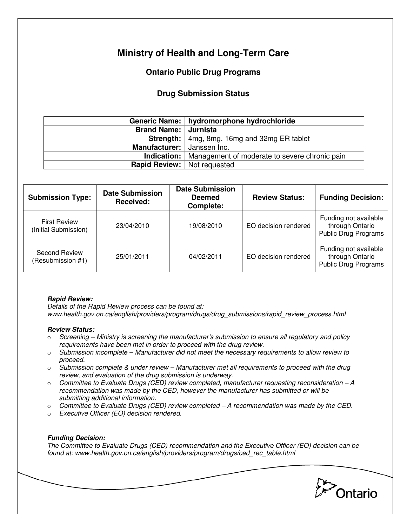# **Ministry of Health and Long-Term Care**

## **Ontario Public Drug Programs**

### **Drug Submission Status**

|                                      | Generic Name:   hydromorphone hydrochloride                        |  |  |
|--------------------------------------|--------------------------------------------------------------------|--|--|
| Brand Name: Jurnista                 |                                                                    |  |  |
|                                      | <b>Strength:</b> 4mg, 8mg, 16mg and 32mg ER tablet                 |  |  |
| Manufacturer: Janssen Inc.           |                                                                    |  |  |
|                                      | <b>Indication:</b>   Management of moderate to severe chronic pain |  |  |
| <b>Rapid Review:</b>   Not requested |                                                                    |  |  |

| <b>Submission Type:</b>                     | <b>Date Submission</b><br>Received: | <b>Date Submission</b><br><b>Deemed</b><br>Complete: | <b>Review Status:</b> | <b>Funding Decision:</b>                                                |
|---------------------------------------------|-------------------------------------|------------------------------------------------------|-----------------------|-------------------------------------------------------------------------|
| <b>First Review</b><br>(Initial Submission) | 23/04/2010                          | 19/08/2010                                           | EO decision rendered  | Funding not available<br>through Ontario<br><b>Public Drug Programs</b> |
| <b>Second Review</b><br>(Resubmission #1)   | 25/01/2011                          | 04/02/2011                                           | EO decision rendered  | Funding not available<br>through Ontario<br><b>Public Drug Programs</b> |

### **Rapid Review:**

Details of the Rapid Review process can be found at: www.health.gov.on.ca/english/providers/program/drugs/drug\_submissions/rapid\_review\_process.html

#### **Review Status:**

- $\circ$  Screening Ministry is screening the manufacturer's submission to ensure all regulatory and policy requirements have been met in order to proceed with the drug review.
- $\circ$  Submission incomplete Manufacturer did not meet the necessary requirements to allow review to proceed.
- $\circ$  Submission complete & under review Manufacturer met all requirements to proceed with the drug review, and evaluation of the drug submission is underway.
- $\circ$  Committee to Evaluate Drugs (CED) review completed, manufacturer requesting reconsideration  $-A$ recommendation was made by the CED, however the manufacturer has submitted or will be submitting additional information.
- $\circ$  Committee to Evaluate Drugs (CED) review completed  $-A$  recommendation was made by the CED.
- o Executive Officer (EO) decision rendered.

### **Funding Decision:**

The Committee to Evaluate Drugs (CED) recommendation and the Executive Officer (EO) decision can be found at: www.health.gov.on.ca/english/providers/program/drugs/ced\_rec\_table.html